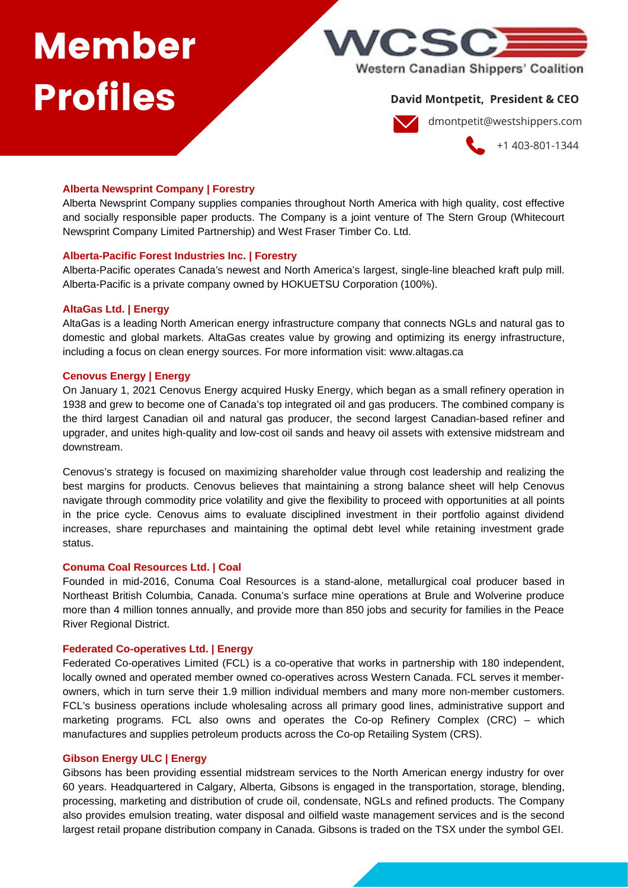# Member Profiles



# **David Montpetit, President & CEO**

dmontpetit@westshippers.com

+1 403-801-1344

## **Alberta Newsprint Company | Forestry**

Alberta Newsprint Company supplies companies throughout North America with high quality, cost effective and socially responsible paper products. The Company is a joint venture of The Stern Group (Whitecourt Newsprint Company Limited Partnership) and West Fraser Timber Co. Ltd.

## **Alberta-Pacific Forest Industries Inc. | Forestry**

Alberta-Pacific operates Canada's newest and North America's largest, single-line bleached kraft pulp mill. Alberta-Pacific is a private company owned by HOKUETSU Corporation (100%).

# **AltaGas Ltd. | Energy**

AltaGas is a leading North American energy infrastructure company that connects NGLs and natural gas to domestic and global markets. AltaGas creates value by growing and optimizing its energy infrastructure, including a focus on clean energy sources. For more information visit: www.altagas.ca

# **Cenovus Energy | Energy**

On January 1, 2021 Cenovus Energy acquired Husky Energy, which began as a small refinery operation in 1938 and grew to become one of Canada's top integrated oil and gas producers. The combined company is the third largest Canadian oil and natural gas producer, the second largest Canadian-based refiner and upgrader, and unites high-quality and low-cost oil sands and heavy oil assets with extensive midstream and downstream.

Cenovus's strategy is focused on maximizing shareholder value through cost leadership and realizing the best margins for products. Cenovus believes that maintaining a strong balance sheet will help Cenovus navigate through commodity price volatility and give the flexibility to proceed with opportunities at all points in the price cycle. Cenovus aims to evaluate disciplined investment in their portfolio against dividend increases, share repurchases and maintaining the optimal debt level while retaining investment grade status.

## **Conuma Coal Resources Ltd. | Coal**

Founded in mid-2016, Conuma Coal Resources is a stand-alone, metallurgical coal producer based in Northeast British Columbia, Canada. Conuma's surface mine operations at Brule and Wolverine produce more than 4 million tonnes annually, and provide more than 850 jobs and security for families in the Peace River Regional District.

## **Federated Co-operatives Ltd. | Energy**

Federated Co-operatives Limited (FCL) is a co-operative that works in partnership with 180 independent, locally owned and operated member owned co-operatives across Western Canada. FCL serves it memberowners, which in turn serve their 1.9 million individual members and many more non-member customers. FCL's business operations include wholesaling across all primary good lines, administrative support and marketing programs. FCL also owns and operates the Co-op Refinery Complex (CRC) – which manufactures and supplies petroleum products across the Co-op Retailing System (CRS).

# **Gibson Energy ULC | Energy**

Gibsons has been providing essential midstream services to the North American energy industry for over 60 years. Headquartered in Calgary, Alberta, Gibsons is engaged in the transportation, storage, blending, processing, marketing and distribution of crude oil, condensate, NGLs and refined products. The Company also provides emulsion treating, water disposal and oilfield waste management services and is the second largest retail propane distribution company in Canada. Gibsons is traded on the TSX under the symbol GEI.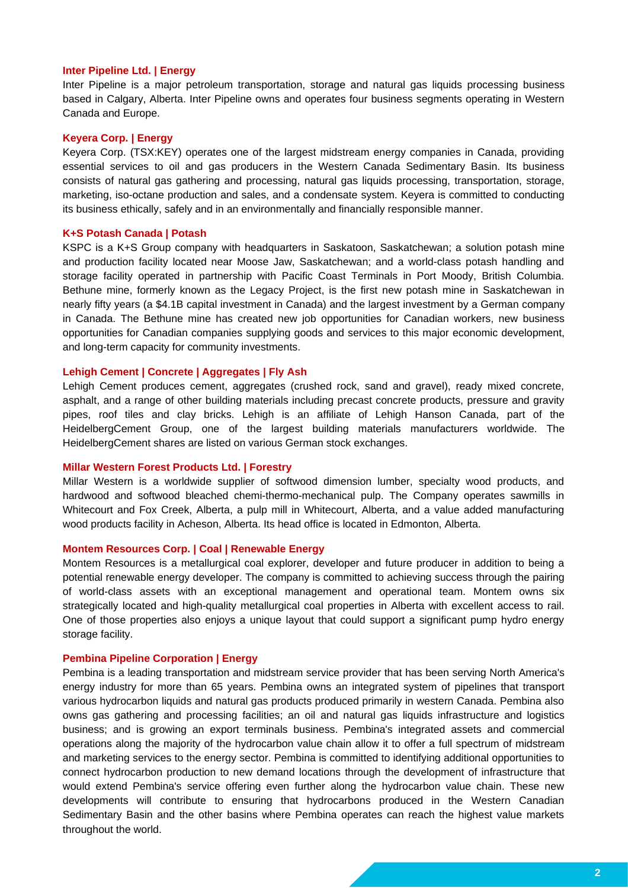#### **Inter Pipeline Ltd. | Energy**

Inter Pipeline is a major petroleum transportation, storage and natural gas liquids processing business based in Calgary, Alberta. Inter Pipeline owns and operates four business segments operating in Western Canada and Europe.

#### **Keyera Corp. | Energy**

Keyera Corp. (TSX:KEY) operates one of the largest midstream energy companies in Canada, providing essential services to oil and gas producers in the Western Canada Sedimentary Basin. Its business consists of natural gas gathering and processing, natural gas liquids processing, transportation, storage, marketing, iso-octane production and sales, and a condensate system. Keyera is committed to conducting its business ethically, safely and in an environmentally and financially responsible manner.

#### **K+S Potash Canada | Potash**

KSPC is a K+S Group company with headquarters in Saskatoon, Saskatchewan; a solution potash mine and production facility located near Moose Jaw, Saskatchewan; and a world-class potash handling and storage facility operated in partnership with Pacific Coast Terminals in Port Moody, British Columbia. Bethune mine, formerly known as the Legacy Project, is the first new potash mine in Saskatchewan in nearly fifty years (a \$4.1B capital investment in Canada) and the largest investment by a German company in Canada. The Bethune mine has created new job opportunities for Canadian workers, new business opportunities for Canadian companies supplying goods and services to this major economic development, and long-term capacity for community investments.

#### **Lehigh Cement | Concrete | Aggregates | Fly Ash**

Lehigh Cement produces cement, aggregates (crushed rock, sand and gravel), ready mixed concrete, asphalt, and a range of other building materials including precast concrete products, pressure and gravity pipes, roof tiles and clay bricks. Lehigh is an affiliate of Lehigh Hanson Canada, part of the HeidelbergCement Group, one of the largest building materials manufacturers worldwide. The HeidelbergCement shares are listed on various German stock exchanges.

#### **Millar Western Forest Products Ltd. | Forestry**

Millar Western is a worldwide supplier of softwood dimension lumber, specialty wood products, and hardwood and softwood bleached chemi-thermo-mechanical pulp. The Company operates sawmills in Whitecourt and Fox Creek, Alberta, a pulp mill in Whitecourt, Alberta, and a value added manufacturing wood products facility in Acheson, Alberta. Its head office is located in Edmonton, Alberta.

#### **Montem Resources Corp. | Coal | Renewable Energy**

Montem Resources is a metallurgical coal explorer, developer and future producer in addition to being a potential renewable energy developer. The company is committed to achieving success through the pairing of world-class assets with an exceptional management and operational team. Montem owns six strategically located and high-quality metallurgical coal properties in Alberta with excellent access to rail. One of those properties also enjoys a unique layout that could support a significant pump hydro energy storage facility.

#### **Pembina Pipeline Corporation | Energy**

Pembina is a leading transportation and midstream service provider that has been serving North America's energy industry for more than 65 years. Pembina owns an integrated system of pipelines that transport various hydrocarbon liquids and natural gas products produced primarily in western Canada. Pembina also owns gas gathering and processing facilities; an oil and natural gas liquids infrastructure and logistics business; and is growing an export terminals business. Pembina's integrated assets and commercial operations along the majority of the hydrocarbon value chain allow it to offer a full spectrum of midstream and marketing services to the energy sector. Pembina is committed to identifying additional opportunities to connect hydrocarbon production to new demand locations through the development of infrastructure that would extend Pembina's service offering even further along the hydrocarbon value chain. These new developments will contribute to ensuring that hydrocarbons produced in the Western Canadian Sedimentary Basin and the other basins where Pembina operates can reach the highest value markets throughout the world.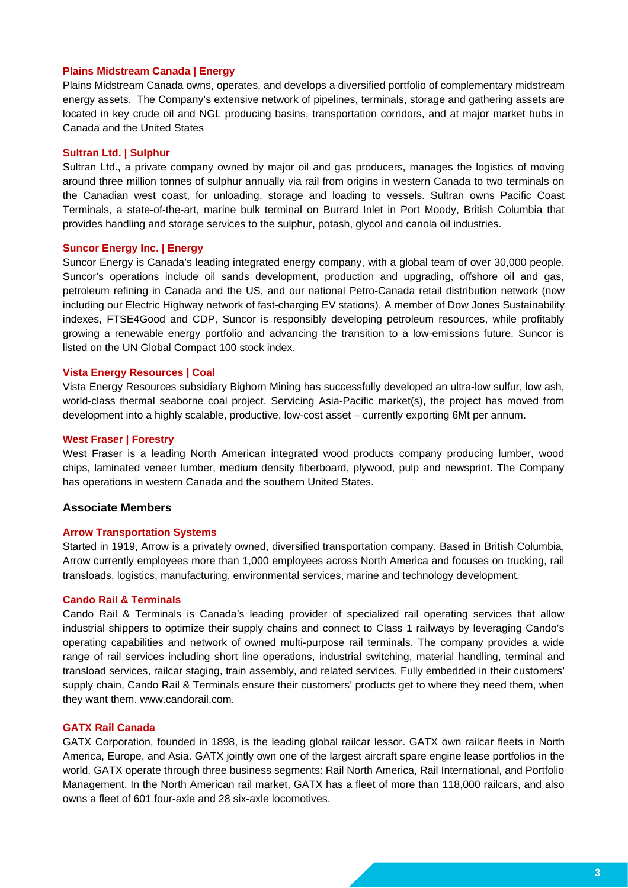## **Plains Midstream Canada | Energy**

Plains Midstream Canada owns, operates, and develops a diversified portfolio of complementary midstream energy assets. The Company's extensive network of pipelines, terminals, storage and gathering assets are located in key crude oil and NGL producing basins, transportation corridors, and at major market hubs in Canada and the United States

#### **Sultran Ltd. | Sulphur**

Sultran Ltd., a private company owned by major oil and gas producers, manages the logistics of moving around three million tonnes of sulphur annually via rail from origins in western Canada to two terminals on the Canadian west coast, for unloading, storage and loading to vessels. Sultran owns Pacific Coast Terminals, a state-of-the-art, marine bulk terminal on Burrard Inlet in Port Moody, British Columbia that provides handling and storage services to the sulphur, potash, glycol and canola oil industries.

## **Suncor Energy Inc. | Energy**

Suncor Energy is Canada's leading integrated energy company, with a global team of over 30,000 people. Suncor's operations include oil sands development, production and upgrading, offshore oil and gas, petroleum refining in Canada and the US, and our national Petro-Canada retail distribution network (now including our Electric Highway network of fast-charging EV stations). A member of Dow Jones Sustainability indexes, FTSE4Good and CDP, Suncor is responsibly developing petroleum resources, while profitably growing a renewable energy portfolio and advancing the transition to a low-emissions future. Suncor is listed on the UN Global Compact 100 stock index.

#### **Vista Energy Resources | Coal**

Vista Energy Resources subsidiary Bighorn Mining has successfully developed an ultra-low sulfur, low ash, world-class thermal seaborne coal project. Servicing Asia-Pacific market(s), the project has moved from development into a highly scalable, productive, low-cost asset – currently exporting 6Mt per annum.

#### **West Fraser | Forestry**

West Fraser is a leading North American integrated wood products company producing lumber, wood chips, laminated veneer lumber, medium density fiberboard, plywood, pulp and newsprint. The Company has operations in western Canada and the southern United States.

## **Associate Members**

#### **Arrow Transportation Systems**

Started in 1919, Arrow is a privately owned, diversified transportation company. Based in British Columbia, Arrow currently employees more than 1,000 employees across North America and focuses on trucking, rail transloads, logistics, manufacturing, environmental services, marine and technology development.

#### **Cando Rail & Terminals**

Cando Rail & Terminals is Canada's leading provider of specialized rail operating services that allow industrial shippers to optimize their supply chains and connect to Class 1 railways by leveraging Cando's operating capabilities and network of owned multi-purpose rail terminals. The company provides a wide range of rail services including short line operations, industrial switching, material handling, terminal and transload services, railcar staging, train assembly, and related services. Fully embedded in their customers' supply chain, Cando Rail & Terminals ensure their customers' products get to where they need them, when they want them. www.candorail.com.

#### **GATX Rail Canada**

GATX Corporation, founded in 1898, is the leading global railcar lessor. GATX own railcar fleets in North America, Europe, and Asia. GATX jointly own one of the largest aircraft spare engine lease portfolios in the world. GATX operate through three business segments: Rail North America, Rail International, and Portfolio Management. In the North American rail market, GATX has a fleet of more than 118,000 railcars, and also owns a fleet of 601 four-axle and 28 six-axle locomotives.